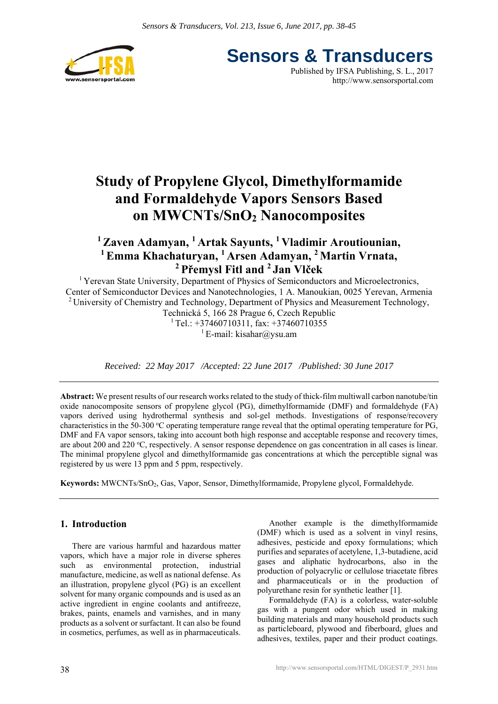

**Sensors & Transducers** Published by IFSA Publishing, S. L., 2017 http://www.sensorsportal.com

# **Study of Propylene Glycol, Dimethylformamide and Formaldehyde Vapors Sensors Based on MWCNTs/SnO2 Nanocomposites**

# **1 Zaven Adamyan, 1 Artak Sayunts, 1 Vladimir Aroutiounian, 1 Emma Khachaturyan, 1 Arsen Adamyan, 2 Martin Vrnata, 2 Přemysl Fitl and 2 Jan Vlček**

<sup>1</sup> Yerevan State University, Department of Physics of Semiconductors and Microelectronics, Center of Semiconductor Devices and Nanotechnologies, 1 A. Manoukian, 0025 Yerevan, Armenia <sup>2</sup> University of Chemistry and Technology, Department of Physics and Measurement Technology, Technická 5, 166 28 Prague 6, Czech Republic

 $1$  Tel.: +37460710311, fax: +37460710355 <sup>1</sup> E-mail: kisahar@ysu.am

*Received: 22 May 2017 /Accepted: 22 June 2017 /Published: 30 June 2017* 

**Abstract:** We present results of our research works related to the study of thick-film multiwall carbon nanotube/tin oxide nanocomposite sensors of propylene glycol (PG), dimethylformamide (DMF) and formaldehyde (FA) vapors derived using hydrothermal synthesis and sol-gel methods. Investigations of response/recovery characteristics in the 50-300 °C operating temperature range reveal that the optimal operating temperature for PG, DMF and FA vapor sensors, taking into account both high response and acceptable response and recovery times, are about 200 and 220 °C, respectively. A sensor response dependence on gas concentration in all cases is linear. The minimal propylene glycol and dimethylformamide gas concentrations at which the perceptible signal was registered by us were 13 ppm and 5 ppm, respectively.

**Keywords:** MWCNTs/SnO2, Gas, Vapor, Sensor, Dimethylformamide, Propylene glycol, Formaldehyde.

# **1. Introduction**

There are various harmful and hazardous matter vapors, which have a major role in diverse spheres such as environmental protection, industrial manufacture, medicine, as well as national defense. As an illustration, propylene glycol (PG) is an excellent solvent for many organic compounds and is used as an active ingredient in engine coolants and antifreeze, brakes, paints, enamels and varnishes, and in many products as a solvent or surfactant. It can also be found in cosmetics, perfumes, as well as in pharmaceuticals.

Another example is the dimethylformamide (DMF) which is used as a solvent in vinyl resins, adhesives, pesticide and epoxy formulations; which purifies and separates of acetylene, 1,3-butadiene, acid gases and aliphatic hydrocarbons, also in the production of polyacrylic or cellulose triacetate fibres and pharmaceuticals or in the production of polyurethane resin for synthetic leather [1].

Formaldehyde (FA) is a colorless, water-soluble gas with a pungent odor which used in making building materials and many household products such as particleboard, plywood and fiberboard, glues and adhesives, textiles, paper and their product coatings.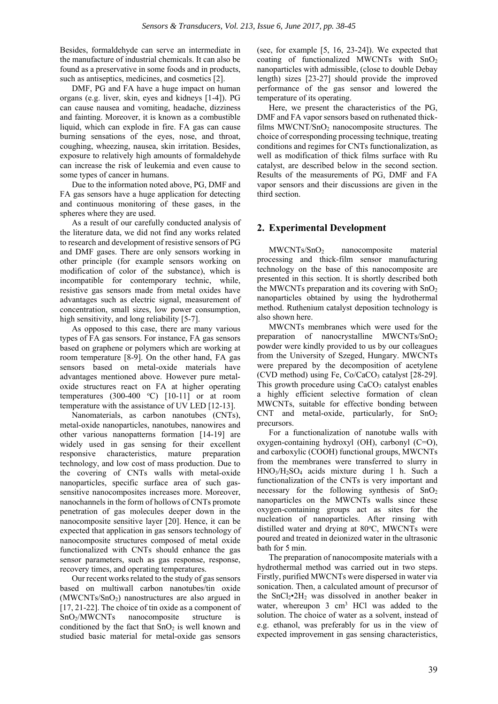Besides, formaldehyde can serve an intermediate in the manufacture of industrial chemicals. It can also be found as a preservative in some foods and in products, such as antiseptics, medicines, and cosmetics [2].

DMF, PG and FA have a huge impact on human organs (e.g. liver, skin, eyes and kidneys [1-4]). PG can cause nausea and vomiting, headache, dizziness and fainting. Moreover, it is known as a combustible liquid, which can explode in fire. FA gas can cause burning sensations of the eyes, nose, and throat, coughing, wheezing, nausea, skin irritation. Besides, exposure to relatively high amounts of formaldehyde can increase the risk of leukemia and even cause to some types of cancer in humans.

Due to the information noted above, PG, DMF and FA gas sensors have a huge application for detecting and continuous monitoring of these gases, in the spheres where they are used.

As a result of our carefully conducted analysis of the literature data, we did not find any works related to research and development of resistive sensors of PG and DMF gases. There are only sensors working in other principle (for example sensors working on modification of color of the substance), which is incompatible for contemporary technic, while, resistive gas sensors made from metal oxides have advantages such as electric signal, measurement of concentration, small sizes, low power consumption, high sensitivity, and long reliability [5-7].

As opposed to this case, there are many various types of FA gas sensors. For instance, FA gas sensors based on graphene or polymers which are working at room temperature [8-9]. On the other hand, FA gas sensors based on metal-oxide materials have advantages mentioned above. However pure metaloxide structures react on FA at higher operating temperatures  $(300-400 \degree C)$  [10-11] or at room temperature with the assistance of UV LED [12-13].

Nanomaterials, as carbon nanotubes (CNTs), metal-oxide nanoparticles, nanotubes, nanowires and other various nanopatterns formation [14-19] are widely used in gas sensing for their excellent responsive characteristics, mature preparation technology, and low cost of mass production. Due to the covering of CNTs walls with metal-oxide nanoparticles, specific surface area of such gassensitive nanocomposites increases more. Moreover, nanochannels in the form of hollows of CNTs promote penetration of gas molecules deeper down in the nanocomposite sensitive layer [20]. Hence, it can be expected that application in gas sensors technology of nanocomposite structures composed of metal oxide functionalized with CNTs should enhance the gas sensor parameters, such as gas response, response, recovery times, and operating temperatures.

Our recent works related to the study of gas sensors based on multiwall carbon nanotubes/tin oxide (MWCNTs/SnO2) nanostructures are also argued in [17, 21-22]. The choice of tin oxide as a component of SnO<sub>2</sub>/MWCNTs nanocomposite structure is conditioned by the fact that  $SnO<sub>2</sub>$  is well known and studied basic material for metal-oxide gas sensors

(see, for example [5, 16, 23-24]). We expected that coating of functionalized MWCNTs with SnO2 nanoparticles with admissible, (close to double Debay length) sizes [23-27] should provide the improved performance of the gas sensor and lowered the temperature of its operating.

Here, we present the characteristics of the PG, DMF and FA vapor sensors based on ruthenated thickfilms  $MWCNT/SnO<sub>2</sub>$  nanocomposite structures. The choice of corresponding processing technique, treating conditions and regimes for CNTs functionalization, as well as modification of thick films surface with Ru catalyst, are described below in the second section. Results of the measurements of PG, DMF and FA vapor sensors and their discussions are given in the third section.

# **2. Experimental Development**

MWCNTs/SnO<sub>2</sub> nanocomposite material processing and thick-film sensor manufacturing technology on the base of this nanocomposite are presented in this section. It is shortly described both the MWCNTs preparation and its covering with  $SnO<sub>2</sub>$ nanoparticles obtained by using the hydrothermal method. Ruthenium catalyst deposition technology is also shown here.

MWCNTs membranes which were used for the preparation of nanocrystalline MWCNTs/SnO<sub>2</sub> powder were kindly provided to us by our colleagues from the University of Szeged, Hungary. MWCNTs were prepared by the decomposition of acetylene (CVD method) using Fe,  $Co/CaCO<sub>3</sub>$  catalyst [28-29]. This growth procedure using  $CaCO<sub>3</sub>$  catalyst enables a highly efficient selective formation of clean MWCNTs, suitable for effective bonding between CNT and metal-oxide, particularly, for  $SnO<sub>2</sub>$ precursors.

For a functionalization of nanotube walls with oxygen-containing hydroxyl (OH), carbonyl (C=O), and carboxylic (COOH) functional groups, MWCNTs from the membranes were transferred to slurry in HNO3/H2SO4 acids mixture during 1 h. Such a functionalization of the CNTs is very important and necessary for the following synthesis of  $SnO<sub>2</sub>$ nanoparticles on the MWCNTs walls since these oxygen-containing groups act as sites for the nucleation of nanoparticles. After rinsing with distilled water and drying at 80°C, MWCNTs were poured and treated in deionized water in the ultrasonic bath for 5 min.

The preparation of nanocomposite materials with a hydrothermal method was carried out in two steps. Firstly, purified MWCNTs were dispersed in water via sonication. Then, a calculated amount of precursor of the  $SnCl<sub>2</sub>•2H<sub>2</sub>$  was dissolved in another beaker in water, whereupon 3 cm<sup>3</sup> HCl was added to the solution. The choice of water as a solvent, instead of e.g. ethanol, was preferably for us in the view of expected improvement in gas sensing characteristics,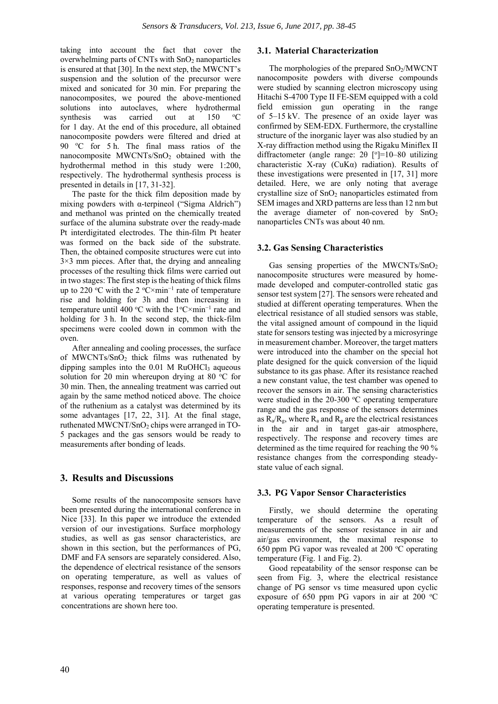taking into account the fact that cover the overwhelming parts of CNTs with SnO<sub>2</sub> nanoparticles is ensured at that [30]. In the next step, the MWCNT's suspension and the solution of the precursor were mixed and sonicated for 30 min. For preparing the nanocomposites, we poured the above-mentioned solutions into autoclaves, where hydrothermal synthesis was carried out at 150  $\rm ^{0}C$ for 1 day. At the end of this procedure, all obtained nanocomposite powders were filtered and dried at 90 °C for 5 h. The final mass ratios of the nanocomposite MWCNTs/SnO2 obtained with the hydrothermal method in this study were 1:200, respectively. The hydrothermal synthesis process is presented in details in [17, 31-32].

The paste for the thick film deposition made by mixing powders with  $\alpha$ -terpineol ("Sigma Aldrich") and methanol was printed on the chemically treated surface of the alumina substrate over the ready-made Pt interdigitated electrodes. The thin-film Pt heater was formed on the back side of the substrate. Then, the obtained composite structures were cut into 3×3 mm pieces. After that, the drying and annealing processes of the resulting thick films were carried out in two stages: The first step is the heating of thick films up to 220 °C with the 2 °C × min<sup>-1</sup> rate of temperature rise and holding for 3h and then increasing in temperature until 400 °C with the  $1$ °C×min<sup>-1</sup> rate and holding for 3 h. In the second step, the thick-film specimens were cooled down in common with the oven.

After annealing and cooling processes, the surface of MWCNTs/SnO2 thick films was ruthenated by dipping samples into the  $0.01$  M RuOHCl<sub>3</sub> aqueous solution for 20 min whereupon drying at 80  $^{\circ}$ C for 30 min. Then, the annealing treatment was carried out again by the same method noticed above. The choice of the ruthenium as a catalyst was determined by its some advantages [17, 22, 31]. At the final stage, ruthenated MWCNT/SnO<sub>2</sub> chips were arranged in TO-5 packages and the gas sensors would be ready to measurements after bonding of leads.

# **3. Results and Discussions**

Some results of the nanocomposite sensors have been presented during the international conference in Nice [33]. In this paper we introduce the extended version of our investigations. Surface morphology studies, as well as gas sensor characteristics, are shown in this section, but the performances of PG, DMF and FA sensors are separately considered. Also, the dependence of electrical resistance of the sensors on operating temperature, as well as values of responses, response and recovery times of the sensors at various operating temperatures or target gas concentrations are shown here too.

# **3.1. Material Characterization**

The morphologies of the prepared  $SnO<sub>2</sub>/MWCNT$ nanocomposite powders with diverse compounds were studied by scanning electron microscopy using Hitachi S-4700 Type II FE-SEM equipped with a cold field emission gun operating in the range of 5–15 kV. The presence of an oxide layer was confirmed by SEM-EDX. Furthermore, the crystalline structure of the inorganic layer was also studied by an X-ray diffraction method using the Rigaku Miniflex II diffractometer (angle range:  $2\theta$  [°]=10-80 utilizing characteristic X-ray (CuKα) radiation). Results of these investigations were presented in [17, 31] more detailed. Here, we are only noting that average crystalline size of SnO<sub>2</sub> nanoparticles estimated from SEM images and XRD patterns are less than 12 nm but the average diameter of non-covered by  $SnO<sub>2</sub>$ nanoparticles CNTs was about 40 nm.

#### **3.2. Gas Sensing Characteristics**

Gas sensing properties of the MWCNTs/ $SnO<sub>2</sub>$ nanocomposite structures were measured by homemade developed and computer-controlled static gas sensor test system [27]. The sensors were reheated and studied at different operating temperatures. When the electrical resistance of all studied sensors was stable, the vital assigned amount of compound in the liquid state for sensors testing was injected by a microsyringe in measurement chamber. Moreover, the target matters were introduced into the chamber on the special hot plate designed for the quick conversion of the liquid substance to its gas phase. After its resistance reached a new constant value, the test chamber was opened to recover the sensors in air. The sensing characteristics were studied in the  $20-300$  °C operating temperature range and the gas response of the sensors determines as  $R_a/R_g$ , where  $R_a$  and  $R_g$  are the electrical resistances in the air and in target gas-air atmosphere, respectively. The response and recovery times are determined as the time required for reaching the 90 % resistance changes from the corresponding steadystate value of each signal.

#### **3.3. PG Vapor Sensor Characteristics**

Firstly, we should determine the operating temperature of the sensors. As a result of measurements of the sensor resistance in air and air/gas environment, the maximal response to 650 ppm PG vapor was revealed at 200 °C operating temperature (Fig. 1 and Fig. 2).

Good repeatability of the sensor response can be seen from Fig. 3, where the electrical resistance change of PG sensor vs time measured upon cyclic exposure of 650 ppm PG vapors in air at 200  $\,^{\circ}\text{C}$ operating temperature is presented.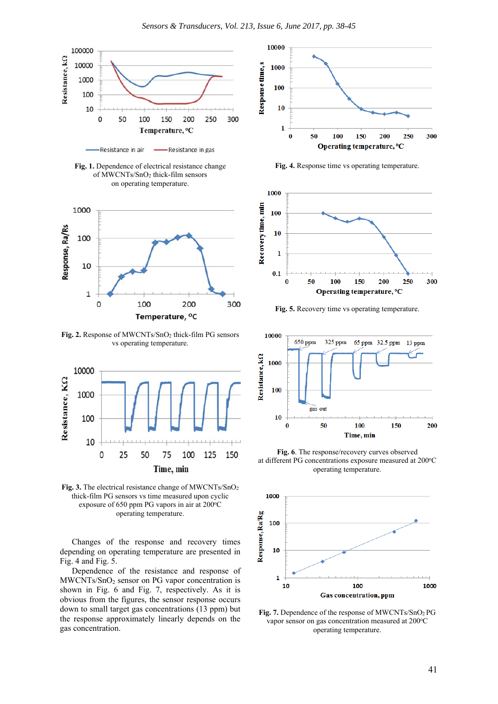

Resistance in air Resistance in gas

**Fig. 1.** Dependence of electrical resistance change of MWCNTs/SnO2 thick-film sensors on operating temperature.



Fig. 2. Response of MWCNTs/SnO<sub>2</sub> thick-film PG sensors vs operating temperature.



**Fig. 3.** The electrical resistance change of MWCNTs/SnO2 thick-film PG sensors vs time measured upon cyclic exposure of 650 ppm PG vapors in air at  $200^{\circ}$ C operating temperature.

Changes of the response and recovery times depending on operating temperature are presented in Fig. 4 and Fig. 5.

Dependence of the resistance and response of MWCNTs/SnO2 sensor on PG vapor concentration is shown in Fig. 6 and Fig. 7, respectively. As it is obvious from the figures, the sensor response occurs down to small target gas concentrations (13 ppm) but the response approximately linearly depends on the gas concentration.



**Fig. 4.** Response time vs operating temperature.



**Fig. 5.** Recovery time vs operating temperature.



**Fig. 6**. The response/recovery curves observed at different PG concentrations exposure measured at 200°C operating temperature.



**Fig. 7.** Dependence of the response of MWCNTs/SnO2 PG vapor sensor on gas concentration measured at 200°C operating temperature.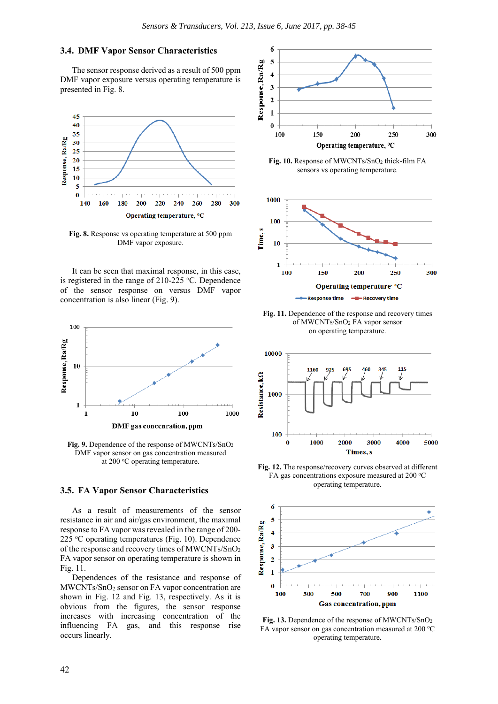# **3.4. DMF Vapor Sensor Characteristics**

The sensor response derived as a result of 500 ppm DMF vapor exposure versus operating temperature is presented in Fig. 8.



**Fig. 8.** Response vs operating temperature at 500 ppm DMF vapor exposure.

It can be seen that maximal response, in this case, is registered in the range of  $210-225$  °C. Dependence of the sensor response on versus DMF vapor concentration is also linear (Fig. 9).



**Fig. 9.** Dependence of the response of MWCNTs/SnO2 DMF vapor sensor on gas concentration measured at 200 °C operating temperature.

#### **3.5. FA Vapor Sensor Characteristics**

As a result of measurements of the sensor resistance in air and air/gas environment, the maximal response to FA vapor was revealed in the range of 200- 225 °C operating temperatures (Fig. 10). Dependence of the response and recovery times of MWCNTs/SnO2 FA vapor sensor on operating temperature is shown in Fig. 11.

Dependences of the resistance and response of MWCNTs/SnO<sub>2</sub> sensor on FA vapor concentration are shown in Fig. 12 and Fig. 13, respectively. As it is obvious from the figures, the sensor response increases with increasing concentration of the influencing FA gas, and this response rise occurs linearly.



Fig. 10. Response of MWCNTs/SnO<sub>2</sub> thick-film FA sensors vs operating temperature.



**Fig. 11.** Dependence of the response and recovery times of MWCNTs/SnO2 FA vapor sensor on operating temperature.



**Fig. 12.** The response/recovery curves observed at different FA gas concentrations exposure measured at 200  $^{\circ}$ C operating temperature.



**Fig. 13.** Dependence of the response of MWCNTs/SnO2 FA vapor sensor on gas concentration measured at 200 °C operating temperature.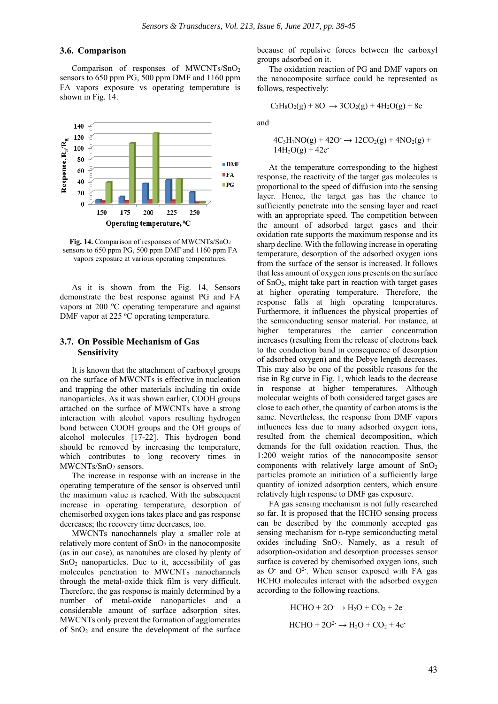#### **3.6. Comparison**

Comparison of responses of MWCNTs/SnO2 sensors to 650 ppm PG, 500 ppm DMF and 1160 ppm FA vapors exposure vs operating temperature is shown in Fig. 14.



**Fig. 14.** Comparison of responses of MWCNTs/SnO2 sensors to 650 ppm PG, 500 ppm DMF and 1160 ppm FA vapors exposure at various operating temperatures.

As it is shown from the Fig. 14, Sensors demonstrate the best response against PG and FA vapors at 200 °C operating temperature and against DMF vapor at  $225 \text{ °C}$  operating temperature.

# **3.7. On Possible Mechanism of Gas Sensitivity**

It is known that the attachment of carboxyl groups on the surface of MWCNTs is effective in nucleation and trapping the other materials including tin oxide nanoparticles. As it was shown earlier, COOH groups attached on the surface of MWCNTs have a strong interaction with alcohol vapors resulting hydrogen bond between COOH groups and the OH groups of alcohol molecules [17-22]. This hydrogen bond should be removed by increasing the temperature, which contributes to long recovery times in MWCNTs/SnO<sub>2</sub> sensors.

The increase in response with an increase in the operating temperature of the sensor is observed until the maximum value is reached. With the subsequent increase in operating temperature, desorption of chemisorbed oxygen ions takes place and gas response decreases; the recovery time decreases, too.

MWCNTs nanochannels play a smaller role at relatively more content of  $SnO<sub>2</sub>$  in the nanocomposite (as in our case), as nanotubes are closed by plenty of SnO2 nanoparticles. Due to it, accessibility of gas molecules penetration to MWCNTs nanochannels through the metal-oxide thick film is very difficult. Therefore, the gas response is mainly determined by a number of metal-oxide nanoparticles and a considerable amount of surface adsorption sites. MWCNTs only prevent the formation of agglomerates of SnO2 and ensure the development of the surface

because of repulsive forces between the carboxyl groups adsorbed on it.

The oxidation reaction of PG and DMF vapors on the nanocomposite surface could be represented as follows, respectively:

$$
C_3H_8O_2(g) + 8O^- \rightarrow 3CO_2(g) + 4H_2O(g) + 8e^-
$$

and

$$
4C_3H_7NO(g) + 42O \rightarrow 12CO_2(g) + 4NO_2(g) + 14H_2O(g) + 42e
$$

At the temperature corresponding to the highest response, the reactivity of the target gas molecules is proportional to the speed of diffusion into the sensing layer. Hence, the target gas has the chance to sufficiently penetrate into the sensing layer and react with an appropriate speed. The competition between the amount of adsorbed target gases and their oxidation rate supports the maximum response and its sharp decline. With the following increase in operating temperature, desorption of the adsorbed oxygen ions from the surface of the sensor is increased. It follows that less amount of oxygen ions presents on the surface of  $SnO<sub>2</sub>$ , might take part in reaction with target gases at higher operating temperature. Therefore, the response falls at high operating temperatures. Furthermore, it influences the physical properties of the semiconducting sensor material. For instance, at higher temperatures the carrier concentration increases (resulting from the release of electrons back to the conduction band in consequence of desorption of adsorbed oxygen) and the Debye length decreases. This may also be one of the possible reasons for the rise in Rg curve in Fig. 1, which leads to the decrease in response at higher temperatures. Although molecular weights of both considered target gases are close to each other, the quantity of carbon atoms is the same. Nevertheless, the response from DMF vapors influences less due to many adsorbed oxygen ions, resulted from the chemical decomposition, which demands for the full oxidation reaction. Thus, the 1:200 weight ratios of the nanocomposite sensor components with relatively large amount of  $SnO<sub>2</sub>$ particles promote an initiation of a sufficiently large quantity of ionized adsorption centers, which ensure relatively high response to DMF gas exposure.

FA gas sensing mechanism is not fully researched so far. It is proposed that the HCHO sensing process can be described by the commonly accepted gas sensing mechanism for n-type semiconducting metal oxides including SnO2. Namely, as a result of adsorption-oxidation and desorption processes sensor surface is covered by chemisorbed oxygen ions, such as  $O<sup>2</sup>$  and  $O<sup>2</sup>$ . When sensor exposed with FA gas HCHO molecules interact with the adsorbed oxygen according to the following reactions.

> $HCHO + 2O^- \rightarrow H_2O + CO_2 + 2e^ HCHO + 2O<sup>2-</sup> \rightarrow H<sub>2</sub>O + CO<sub>2</sub> + 4e<sup>-</sup>$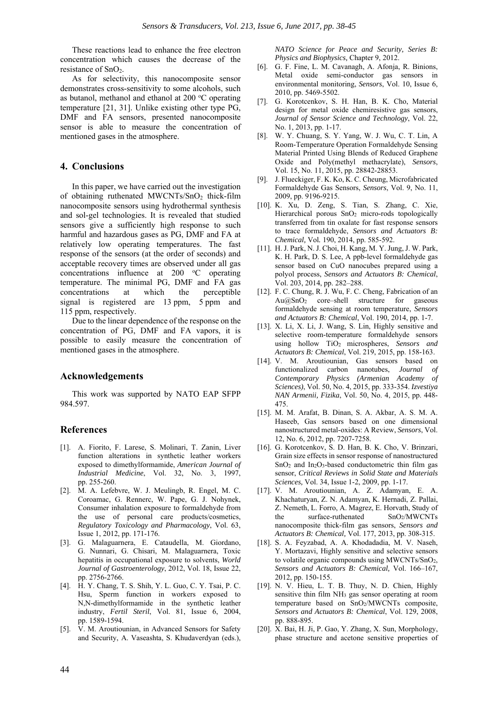These reactions lead to enhance the free electron concentration which causes the decrease of the resistance of SnO<sub>2</sub>.

As for selectivity, this nanocomposite sensor demonstrates cross-sensitivity to some alcohols, such as butanol, methanol and ethanol at 200 °C operating temperature [21, 31]. Unlike existing other type PG, DMF and FA sensors, presented nanocomposite sensor is able to measure the concentration of mentioned gases in the atmosphere.

## **4. Conclusions**

In this paper, we have carried out the investigation of obtaining ruthenated  $MWCNTs/SnO<sub>2</sub>$  thick-film nanocomposite sensors using hydrothermal synthesis and sol-gel technologies. It is revealed that studied sensors give a sufficiently high response to such harmful and hazardous gases as PG, DMF and FA at relatively low operating temperatures. The fast response of the sensors (at the order of seconds) and acceptable recovery times are observed under all gas concentrations influence at 200 °C operating temperature. The minimal PG, DMF and FA gas concentrations at which the perceptible signal is registered are 13 ppm, 5 ppm and 115 ppm, respectively.

Due to the linear dependence of the response on the concentration of PG, DMF and FA vapors, it is possible to easily measure the concentration of mentioned gases in the atmosphere.

## **Acknowledgements**

This work was supported by NATO EAP SFPP 984.597.

# **References**

- [1]. A. Fiorito, F. Larese, S. Molinari, T. Zanin, Liver function alterations in synthetic leather workers exposed to dimethylformamide, *American Journal of Industrial Medicine*, Vol. 32, No. 3, 1997, pp. 255-260.
- [2]. M. A. Lefebvre, W. J. Meulingb, R. Engel, M. C. Coroamac, G. Rennerc, W. Pape, G. J. Nohynek, Consumer inhalation exposure to formaldehyde from the use of personal care products/cosmetics, *Regulatory Toxicology and Pharmacology*, Vol. 63, Issue 1, 2012, pp. 171-176.
- [3]. G. Malaguarnera, E. Cataudella, M. Giordano, G. Nunnari, G. Chisari, M. Malaguarnera, Toxic hepatitis in occupational exposure to solvents, *World Journal of Gastroenterology*, 2012, Vol. 18, Issue 22, pp. 2756-2766.
- [4]. H. Y. Chang, T. S. Shih, Y. L. Guo, C. Y. Tsai, P. C. Hsu, Sperm function in workers exposed to N,N-dimethylformamide in the synthetic leather industry, *Fertil Steril*, Vol. 81, Issue 6, 2004, pp. 1589-1594.
- [5]. V. M. Aroutiounian, in Advanced Sensors for Safety and Security, A. Vaseashta, S. Khudaverdyan (eds.),

*NATO Science for Peace and Security, Series B: Physics and Biophysics,* Chapter 9, 2012.

- [6]. G. F. Fine, L. M. Cavanagh, A. Afonja, R. Binions, Metal oxide semi-conductor gas sensors in environmental monitoring, *Sensors*, Vol. 10, Issue 6, 2010, pp. 5469-5502.
- [7]. G. Korotcenkov, S. H. Han, B. K. Cho, Material design for metal oxide chemiresistive gas sensors, *Journal of Sensor Science and Technology*, Vol. 22, No. 1, 2013, pp. 1-17.
- [8]. W. Y. Chuang, S. Y. Yang, W. J. Wu, C. T. Lin, A Room-Temperature Operation Formaldehyde Sensing Material Printed Using Blends of Reduced Graphene Oxide and Poly(methyl methacrylate), *Sensors*, Vol. 15, No. 11, 2015, pp. 28842-28853.
- [9]. J. Flueckiger, F. K. Ko, K. C. Cheung, Microfabricated Formaldehyde Gas Sensors, *Sensors*, Vol. 9, No. 11, 2009, pp. 9196-9215.
- [10]. K. Xu, D. Zeng, S. Tian, S. Zhang, C. Xie, Hierarchical porous SnO<sub>2</sub> micro-rods topologically transferred from tin oxalate for fast response sensors to trace formaldehyde, *Sensors and Actuators B: Chemical,* Vol*.* 190, 2014, pp. 585-592.
- [11]. H. J. Park, N. J. Choi, H. Kang, M. Y. Jung, J. W. Park, K. H. Park, D. S. Lee, A ppb-level formaldehyde gas sensor based on CuO nanocubes prepared using a polyol process, *Sensors and Actuators B: Chemical*, Vol. 203, 2014, pp. 282–288.
- [12]. F. C. Chung, R. J. Wu, F. C. Cheng, Fabrication of an Au@SnO2 core–shell structure for gaseous formaldehyde sensing at room temperature, *Sensors and Actuators B: Chemical*, Vol. 190, 2014, pp. 1-7.
- [13]. X. Li, X. Li, J. Wang, S. Lin, Highly sensitive and selective room-temperature formaldehyde sensors using hollow TiO2 microspheres, *Sensors and Actuators B: Chemical*, Vol. 219, 2015, pp. 158-163.
- [14]. V. M. Aroutiounian, Gas sensors based on functionalized carbon nanotubes, *Journal of Contemporary Physics (Armenian Academy of Sciences)*, Vol. 50, No. 4, 2015, pp. 333-354. *Izvestiya NAN Armenii, Fizika*, Vol. 50, No. 4, 2015, pp. 448- 475.
- [15]. M. M. Arafat, B. Dinan, S. A. Akbar, A. S. M. A. Haseeb, Gas sensors based on one dimensional nanostructured metal-oxides: A Review, *Sensors*, Vol. 12, No. 6, 2012, pp. 7207-7258.
- [16]. G. Korotcenkov, S. D. Han, B. K. Cho, V. Brinzari, Grain size effects in sensor response of nanostructured  $SnO<sub>2</sub>$  and  $In<sub>2</sub>O<sub>3</sub>$ -based conductometric thin film gas sensor, *Critical Reviews in Solid State and Materials Sciences,* Vol. 34, Issue 1-2, 2009, pp. 1-17.
- [17]. V. M. Aroutiounian, A. Z. Adamyan, E. A. Khachaturyan, Z. N. Adamyan, K. Hernadi, Z. Pallai, Z. Nemeth, L. Forro, A. Magrez, E. Horvath, Study of the surface-ruthenated SnO2/MWCNTs nanocomposite thick-film gas sensors, *Sensors and Actuators B: Chemical,* Vol. 177, 2013, pp. 308-315.
- [18]. S. A. Feyzabad, A. A. Khodadadia, M. V. Naseh, Y. Mortazavi, Highly sensitive and selective sensors to volatile organic compounds using MWCNTs/SnO2, *Sensors and Actuators B: Chemical,* Vol. 166–167, 2012, pp. 150-155.
- [19]. N. V. Hieu, L. T. B. Thuy, N. D. Chien, Highly sensitive thin film NH3 gas sensor operating at room temperature based on SnO<sub>2</sub>/MWCNTs composite, *Sensors and Actuators B: Chemical*, Vol. 129, 2008, pp. 888-895.
- [20]. X. Bai, H. Ji, P. Gao, Y. Zhang, X. Sun, Morphology, phase structure and acetone sensitive properties of